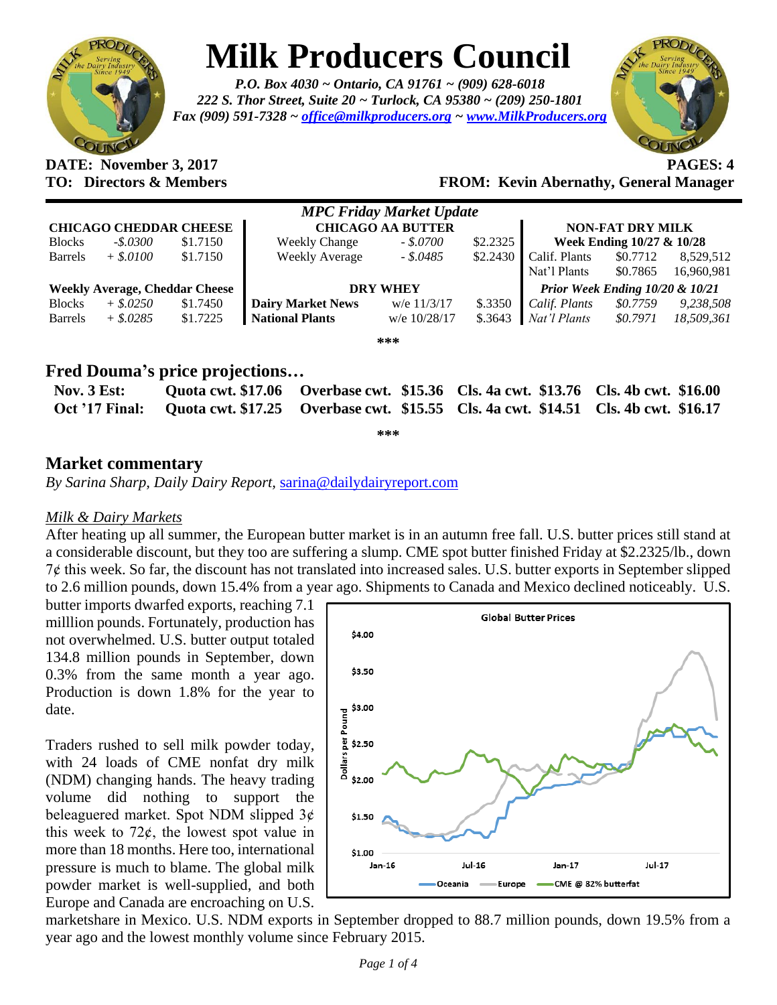

# **Milk Producers Council**

*P.O. Box 4030 ~ Ontario, CA 91761 ~ (909) 628-6018 222 S. Thor Street, Suite 20 ~ Turlock, CA 95380 ~ (209) 250-1801 Fax (909) 591-7328 ~ [office@milkproducers.org](mailto:office@milkproducers.org) ~ [www.MilkProducers.org](http://www.milkproducers.org/)*



**DATE: November 3, 2017 PAGES: 4 TO: Directors & Members FROM: Kevin Abernathy, General Manager**

| <b>MPC Friday Market Update</b>       |             |          |                          |              |           |                                 |                           |            |  |  |  |
|---------------------------------------|-------------|----------|--------------------------|--------------|-----------|---------------------------------|---------------------------|------------|--|--|--|
| <b>CHICAGO CHEDDAR CHEESE</b>         |             |          | <b>CHICAGO AA BUTTER</b> |              |           | <b>NON-FAT DRY MILK</b>         |                           |            |  |  |  |
| <b>Blocks</b>                         | $-.5.0300$  | \$1.7150 | <b>Weekly Change</b>     | $-.50700$    | \$2.2325  |                                 | Week Ending 10/27 & 10/28 |            |  |  |  |
| <b>Barrels</b>                        | $+$ \$.0100 | \$1.7150 | <b>Weekly Average</b>    | $-.5.0485$   | \$2.2430  | Calif. Plants                   | \$0.7712                  | 8,529,512  |  |  |  |
|                                       |             |          |                          |              |           | Nat'l Plants                    | \$0.7865                  | 16,960,981 |  |  |  |
| <b>Weekly Average, Cheddar Cheese</b> |             |          | <b>DRY WHEY</b>          |              |           | Prior Week Ending 10/20 & 10/21 |                           |            |  |  |  |
| <b>Blocks</b>                         | $+$ \$.0250 | \$1.7450 | <b>Dairy Market News</b> | w/e 11/3/17  | \$.3350   | Calif. Plants                   | \$0.7759                  | 9,238,508  |  |  |  |
| <b>Barrels</b>                        | $+$ \$.0285 | \$1.7225 | <b>National Plants</b>   | w/e 10/28/17 | $\$.3643$ | Nat'l Plants                    | \$0.7971                  | 18,509,361 |  |  |  |
|                                       |             |          |                          | ***          |           |                                 |                           |            |  |  |  |

# **Fred Douma's price projections…**

| Nov. $3$ Est: | Quota cwt. \$17.06 Overbase cwt. \$15.36 Cls. 4a cwt. \$13.76 Cls. 4b cwt. \$16.00                |  |
|---------------|---------------------------------------------------------------------------------------------------|--|
|               | Oct '17 Final: Quota cwt. \$17.25 Overbase cwt. \$15.55 Cls. 4a cwt. \$14.51 Cls. 4b cwt. \$16.17 |  |

**\*\*\***

# **Market commentary**

*By Sarina Sharp, Daily Dairy Report,* [sarina@dailydairyreport.com](mailto:sarina@dailydairyreport.com)

#### *Milk & Dairy Markets*

After heating up all summer, the European butter market is in an autumn free fall. U.S. butter prices still stand at a considerable discount, but they too are suffering a slump. CME spot butter finished Friday at \$2.2325/lb., down 7ȼ this week. So far, the discount has not translated into increased sales. U.S. butter exports in September slipped to 2.6 million pounds, down 15.4% from a year ago. Shipments to Canada and Mexico declined noticeably. U.S.

butter imports dwarfed exports, reaching 7.1 milllion pounds. Fortunately, production has not overwhelmed. U.S. butter output totaled 134.8 million pounds in September, down 0.3% from the same month a year ago. Production is down 1.8% for the year to date.

Traders rushed to sell milk powder today, with 24 loads of CME nonfat dry milk (NDM) changing hands. The heavy trading volume did nothing to support the beleaguered market. Spot NDM slipped  $3¢$ this week to  $72¢$ , the lowest spot value in more than 18 months. Here too, international pressure is much to blame. The global milk powder market is well-supplied, and both Europe and Canada are encroaching on U.S.



marketshare in Mexico. U.S. NDM exports in September dropped to 88.7 million pounds, down 19.5% from a year ago and the lowest monthly volume since February 2015.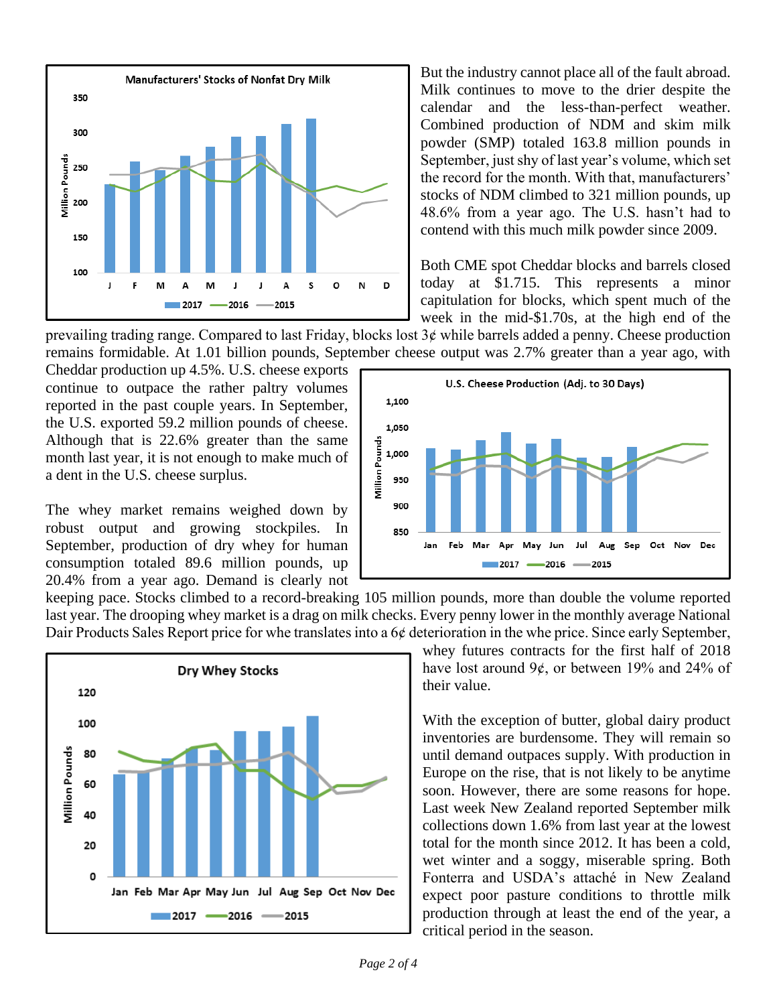

But the industry cannot place all of the fault abroad. Milk continues to move to the drier despite the calendar and the less-than-perfect weather. Combined production of NDM and skim milk powder (SMP) totaled 163.8 million pounds in September, just shy of last year's volume, which set the record for the month. With that, manufacturers' stocks of NDM climbed to 321 million pounds, up 48.6% from a year ago. The U.S. hasn't had to contend with this much milk powder since 2009.

Both CME spot Cheddar blocks and barrels closed today at \$1.715. This represents a minor capitulation for blocks, which spent much of the week in the mid-\$1.70s, at the high end of the

prevailing trading range. Compared to last Friday, blocks lost  $3¢$  while barrels added a penny. Cheese production remains formidable. At 1.01 billion pounds, September cheese output was 2.7% greater than a year ago, with

Cheddar production up 4.5%. U.S. cheese exports continue to outpace the rather paltry volumes reported in the past couple years. In September, the U.S. exported 59.2 million pounds of cheese. Although that is 22.6% greater than the same month last year, it is not enough to make much of a dent in the U.S. cheese surplus.

The whey market remains weighed down by robust output and growing stockpiles. In September, production of dry whey for human consumption totaled 89.6 million pounds, up 20.4% from a year ago. Demand is clearly not



keeping pace. Stocks climbed to a record-breaking 105 million pounds, more than double the volume reported last year. The drooping whey market is a drag on milk checks. Every penny lower in the monthly average National Dair Products Sales Report price for whe translates into a 6¢ deterioration in the whe price. Since early September,



whey futures contracts for the first half of 2018 have lost around  $9¢$ , or between 19% and 24% of their value.

With the exception of butter, global dairy product inventories are burdensome. They will remain so until demand outpaces supply. With production in Europe on the rise, that is not likely to be anytime soon. However, there are some reasons for hope. Last week New Zealand reported September milk collections down 1.6% from last year at the lowest total for the month since 2012. It has been a cold, wet winter and a soggy, miserable spring. Both Fonterra and USDA's attaché in New Zealand expect poor pasture conditions to throttle milk production through at least the end of the year, a critical period in the season.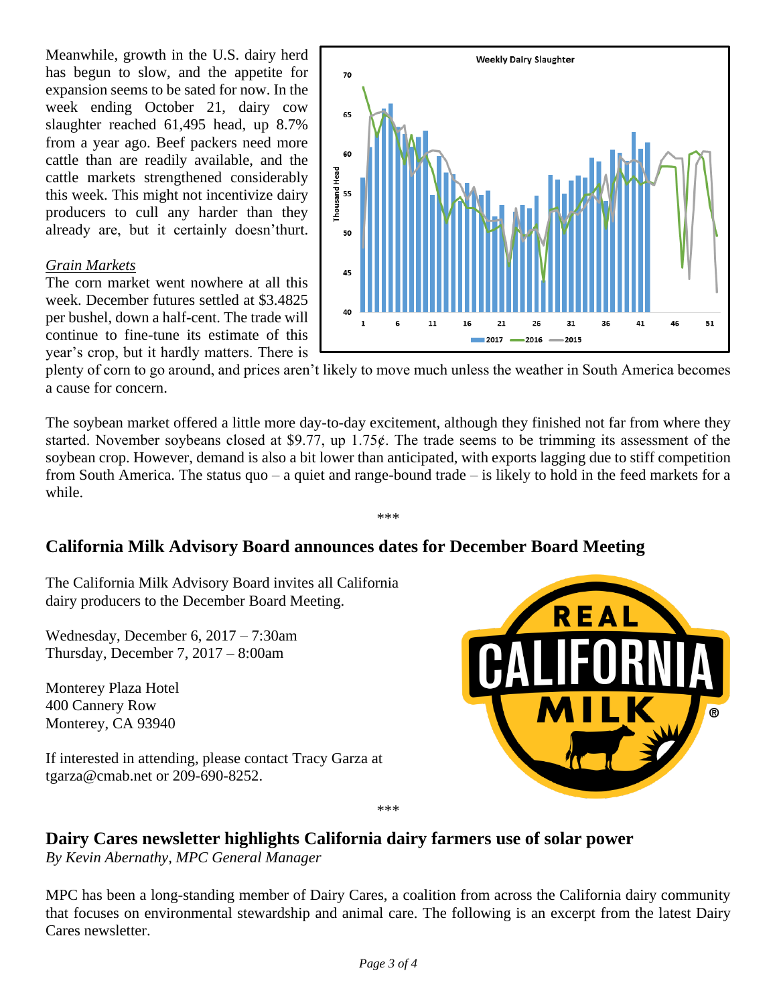Meanwhile, growth in the U.S. dairy herd has begun to slow, and the appetite for expansion seems to be sated for now. In the week ending October 21, dairy cow slaughter reached 61,495 head, up 8.7% from a year ago. Beef packers need more cattle than are readily available, and the cattle markets strengthened considerably this week. This might not incentivize dairy producers to cull any harder than they already are, but it certainly doesn'thurt.

#### *Grain Markets*

The corn market went nowhere at all this week. December futures settled at \$3.4825 per bushel, down a half-cent. The trade will continue to fine-tune its estimate of this year's crop, but it hardly matters. There is



plenty of corn to go around, and prices aren't likely to move much unless the weather in South America becomes a cause for concern.

The soybean market offered a little more day-to-day excitement, although they finished not far from where they started. November soybeans closed at \$9.77, up  $1.75¢$ . The trade seems to be trimming its assessment of the soybean crop. However, demand is also a bit lower than anticipated, with exports lagging due to stiff competition from South America. The status quo – a quiet and range-bound trade – is likely to hold in the feed markets for a while.

\*\*\*

# **California Milk Advisory Board announces dates for December Board Meeting**

The California Milk Advisory Board invites all California dairy producers to the December Board Meeting.

Wednesday, December 6, 2017 – 7:30am Thursday, December 7, 2017 – 8:00am

Monterey Plaza Hotel [400 Cannery Row](https://maps.google.com/?q=400+Cannery+Row%0D+Monterey,+CA+93940&entry=gmail&source=g) [Monterey, CA 93940](https://maps.google.com/?q=400+Cannery+Row%0D+Monterey,+CA+93940&entry=gmail&source=g)

If interested in attending, please contact Tracy Garza at [tgarza@cmab.net](mailto:tgarza@cmab.net) or [209-690-8252.](tel:(209)%20690-8252)



# **Dairy Cares newsletter highlights California dairy farmers use of solar power**

*By Kevin Abernathy, MPC General Manager* 

MPC has been a long-standing member of Dairy Cares, a coalition from across the California dairy community that focuses on environmental stewardship and animal care. The following is an excerpt from the latest Dairy Cares newsletter.

\*\*\*